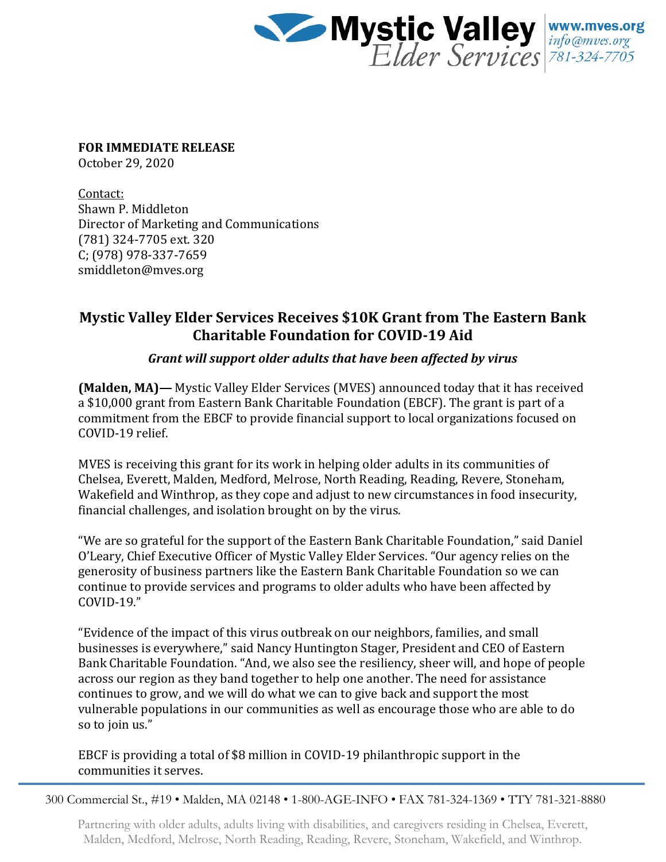

**FOR IMMEDIATE RELEASE**

October 29, 2020

Contact: Shawn P. Middleton Director of Marketing and Communications (781) 324-7705 ext. 320 C; (978) 978-337-7659 smiddleton@mves.org

## **Mystic Valley Elder Services Receives \$10K Grant from The Eastern Bank Charitable Foundation for COVID-19 Aid**

## *Grant will support older adults that have been affected by virus*

**(Malden, MA)—** Mystic Valley Elder Services (MVES) announced today that it has received a \$10,000 grant from Eastern Bank Charitable Foundation (EBCF). The grant is part of a commitment from the EBCF to provide financial support to local organizations focused on COVID-19 relief.

MVES is receiving this grant for its work in helping older adults in its communities of Chelsea, Everett, Malden, Medford, Melrose, North Reading, Reading, Revere, Stoneham, Wakefield and Winthrop, as they cope and adjust to new circumstances in food insecurity, financial challenges, and isolation brought on by the virus.

"We are so grateful for the support of the Eastern Bank Charitable Foundation," said Daniel O'Leary, Chief Executive Officer of Mystic Valley Elder Services. "Our agency relies on the generosity of business partners like the Eastern Bank Charitable Foundation so we can continue to provide services and programs to older adults who have been affected by COVID-19."

"Evidence of the impact of this virus outbreak on our neighbors, families, and small businesses is everywhere," said Nancy Huntington Stager, President and CEO of Eastern Bank Charitable Foundation. "And, we also see the resiliency, sheer will, and hope of people across our region as they band together to help one another. The need for assistance continues to grow, and we will do what we can to give back and support the most vulnerable populations in our communities as well as encourage those who are able to do so to join us."

EBCF is providing a total of \$8 million in COVID-19 philanthropic support in the communities it serves.

300 Commercial St., #19 • Malden, MA 02148 • 1-800-AGE-INFO • FAX 781-324-1369 • TTY 781-321-8880

Partnering with older adults, adults living with disabilities, and caregivers residing in Chelsea, Everett, Malden, Medford, Melrose, North Reading, Reading, Revere, Stoneham, Wakefield, and Winthrop.